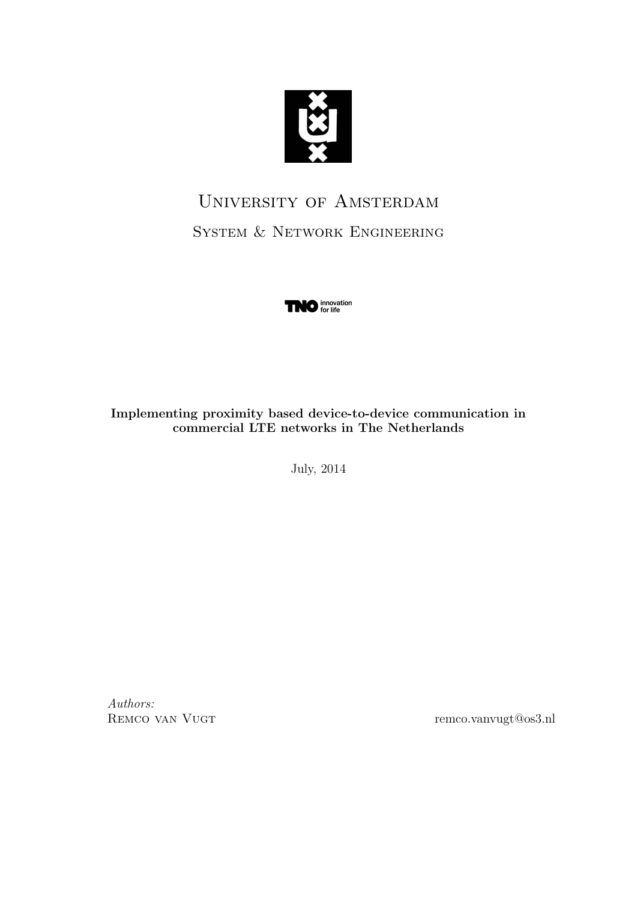

# University of Amsterdam System & Network Engineering



Implementing proximity based device-to-device communication in commercial LTE networks in The Netherlands

July, 2014

Authors:

REMCO VAN VUGT remco.vanvugt@os3.nl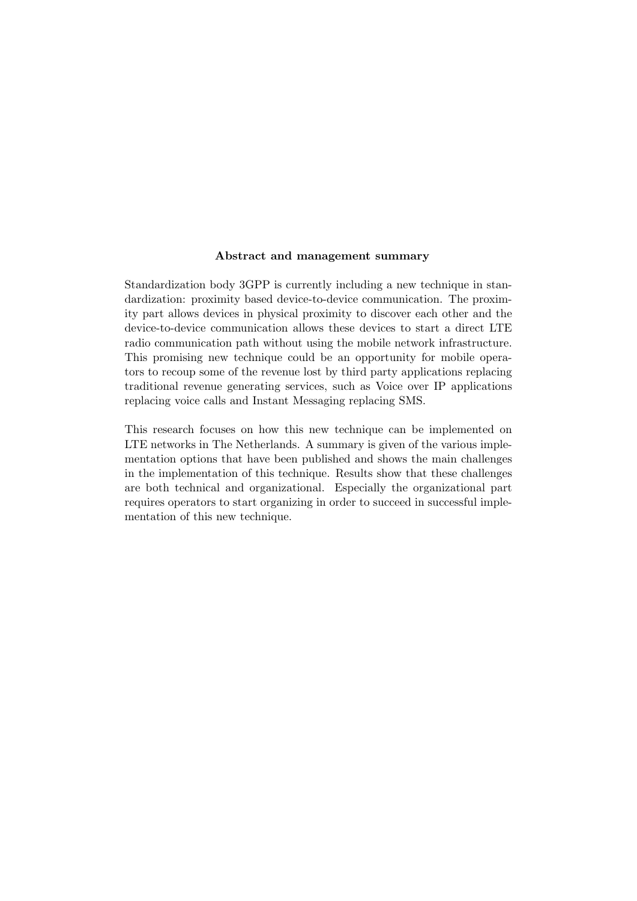#### Abstract and management summary

Standardization body 3GPP is currently including a new technique in standardization: proximity based device-to-device communication. The proximity part allows devices in physical proximity to discover each other and the device-to-device communication allows these devices to start a direct LTE radio communication path without using the mobile network infrastructure. This promising new technique could be an opportunity for mobile operators to recoup some of the revenue lost by third party applications replacing traditional revenue generating services, such as Voice over IP applications replacing voice calls and Instant Messaging replacing SMS.

This research focuses on how this new technique can be implemented on LTE networks in The Netherlands. A summary is given of the various implementation options that have been published and shows the main challenges in the implementation of this technique. Results show that these challenges are both technical and organizational. Especially the organizational part requires operators to start organizing in order to succeed in successful implementation of this new technique.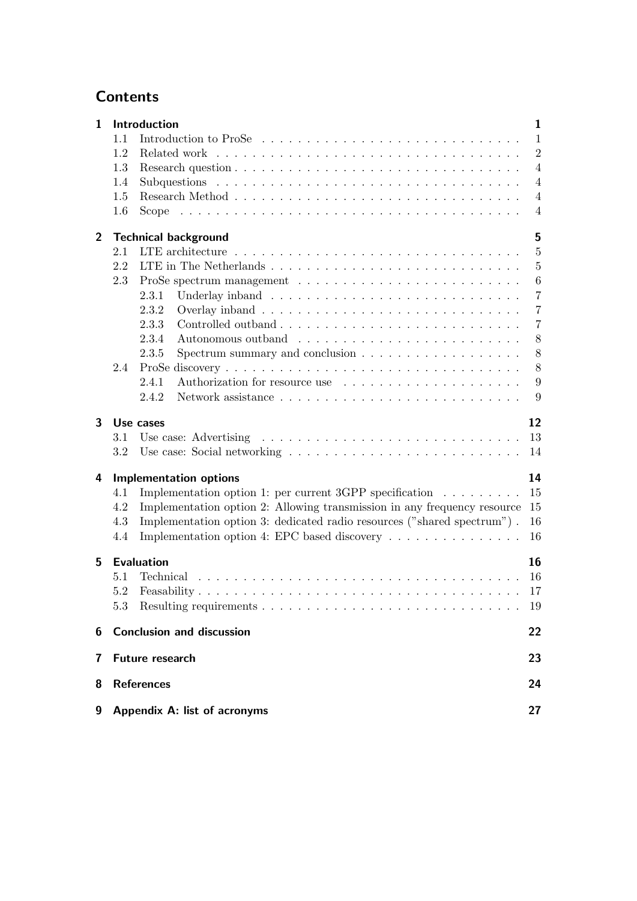## **Contents**

| $\mathbf{1}$   |                              | Introduction                                                                                           | $\mathbf{1}$   |
|----------------|------------------------------|--------------------------------------------------------------------------------------------------------|----------------|
|                | 1.1                          | Introduction to ProSe                                                                                  | $\mathbf{1}$   |
|                | 1.2                          |                                                                                                        | $\overline{2}$ |
|                | 1.3                          |                                                                                                        | $\overline{4}$ |
|                | 1.4                          |                                                                                                        | $\overline{4}$ |
|                | 1.5                          |                                                                                                        | $\overline{4}$ |
|                | 1.6                          |                                                                                                        | $\overline{4}$ |
| $\overline{2}$ |                              | <b>Technical background</b>                                                                            | 5              |
|                | 2.1                          |                                                                                                        | $\overline{5}$ |
|                | 2.2                          |                                                                                                        | $\overline{5}$ |
|                | 2.3                          |                                                                                                        | 6              |
|                |                              | 2.3.1                                                                                                  | $\overline{7}$ |
|                |                              | 2.3.2                                                                                                  | $\overline{7}$ |
|                |                              | 2.3.3                                                                                                  | $\overline{7}$ |
|                |                              | 2.3.4                                                                                                  | 8              |
|                |                              | 2.3.5<br>Spectrum summary and conclusion $\ldots \ldots \ldots \ldots \ldots \ldots$                   | 8              |
|                | 2.4                          |                                                                                                        | 8              |
|                |                              | 2.4.1<br>Authorization for resource use                                                                | 9              |
|                |                              | 2.4.2                                                                                                  | 9              |
| 3              |                              | Use cases                                                                                              | 12             |
|                | 3.1                          |                                                                                                        | 13             |
|                | 3.2                          |                                                                                                        | 14             |
| 4              |                              | <b>Implementation options</b>                                                                          | 14             |
|                | 4.1                          | Implementation option 1: per current 3GPP specification $\ldots \ldots \ldots$                         | 15             |
|                | 4.2                          | Implementation option 2: Allowing transmission in any frequency resource                               | 15             |
|                | 4.3                          | Implementation option 3: dedicated radio resources ("shared spectrum").                                | 16             |
|                | 4.4                          | Implementation option 4: EPC based discovery $\dots \dots \dots \dots \dots$                           | 16             |
| 5              |                              | <b>Evaluation</b>                                                                                      | 16             |
|                | 5.1                          | Technical $\ldots \ldots \ldots \ldots \ldots \ldots \ldots \ldots \ldots \ldots \ldots \ldots \ldots$ | 16             |
|                | 5.2                          |                                                                                                        | 17             |
|                | 5.3                          |                                                                                                        | 19             |
|                |                              |                                                                                                        |                |
| 6              |                              | <b>Conclusion and discussion</b>                                                                       | 22             |
| 7              | Future research              |                                                                                                        |                |
| 8              | <b>References</b>            |                                                                                                        |                |
| 9              | Appendix A: list of acronyms |                                                                                                        | 27             |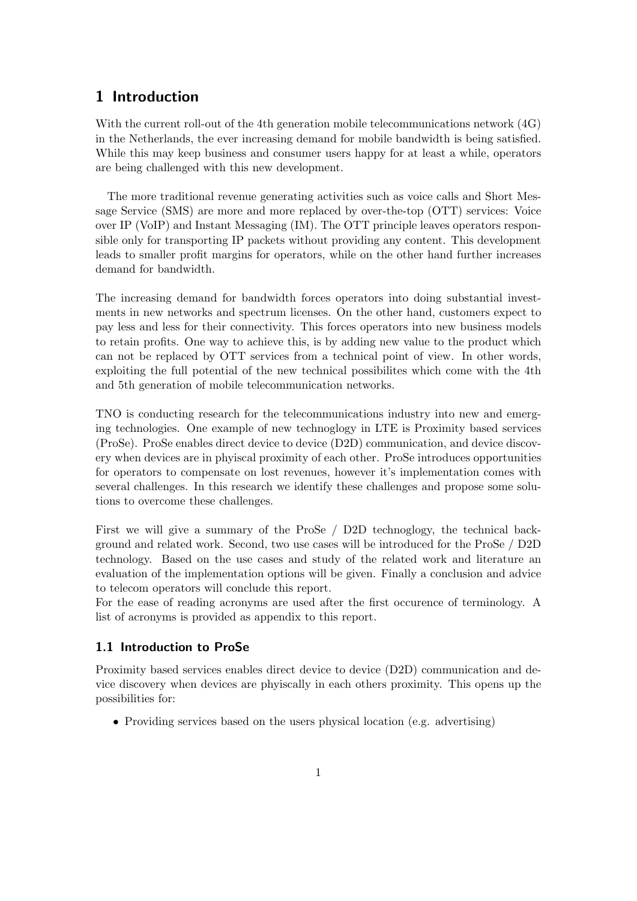## 1 Introduction

With the current roll-out of the 4th generation mobile telecommunications network (4G) in the Netherlands, the ever increasing demand for mobile bandwidth is being satisfied. While this may keep business and consumer users happy for at least a while, operators are being challenged with this new development.

The more traditional revenue generating activities such as voice calls and Short Message Service (SMS) are more and more replaced by over-the-top (OTT) services: Voice over IP (VoIP) and Instant Messaging (IM). The OTT principle leaves operators responsible only for transporting IP packets without providing any content. This development leads to smaller profit margins for operators, while on the other hand further increases demand for bandwidth.

The increasing demand for bandwidth forces operators into doing substantial investments in new networks and spectrum licenses. On the other hand, customers expect to pay less and less for their connectivity. This forces operators into new business models to retain profits. One way to achieve this, is by adding new value to the product which can not be replaced by OTT services from a technical point of view. In other words, exploiting the full potential of the new technical possibilites which come with the 4th and 5th generation of mobile telecommunication networks.

TNO is conducting research for the telecommunications industry into new and emerging technologies. One example of new technoglogy in LTE is Proximity based services (ProSe). ProSe enables direct device to device (D2D) communication, and device discovery when devices are in phyiscal proximity of each other. ProSe introduces opportunities for operators to compensate on lost revenues, however it's implementation comes with several challenges. In this research we identify these challenges and propose some solutions to overcome these challenges.

First we will give a summary of the ProSe / D2D technoglogy, the technical background and related work. Second, two use cases will be introduced for the ProSe / D2D technology. Based on the use cases and study of the related work and literature an evaluation of the implementation options will be given. Finally a conclusion and advice to telecom operators will conclude this report.

For the ease of reading acronyms are used after the first occurence of terminology. A list of acronyms is provided as appendix to this report.

#### 1.1 Introduction to ProSe

Proximity based services enables direct device to device (D2D) communication and device discovery when devices are phyiscally in each others proximity. This opens up the possibilities for:

• Providing services based on the users physical location (e.g. advertising)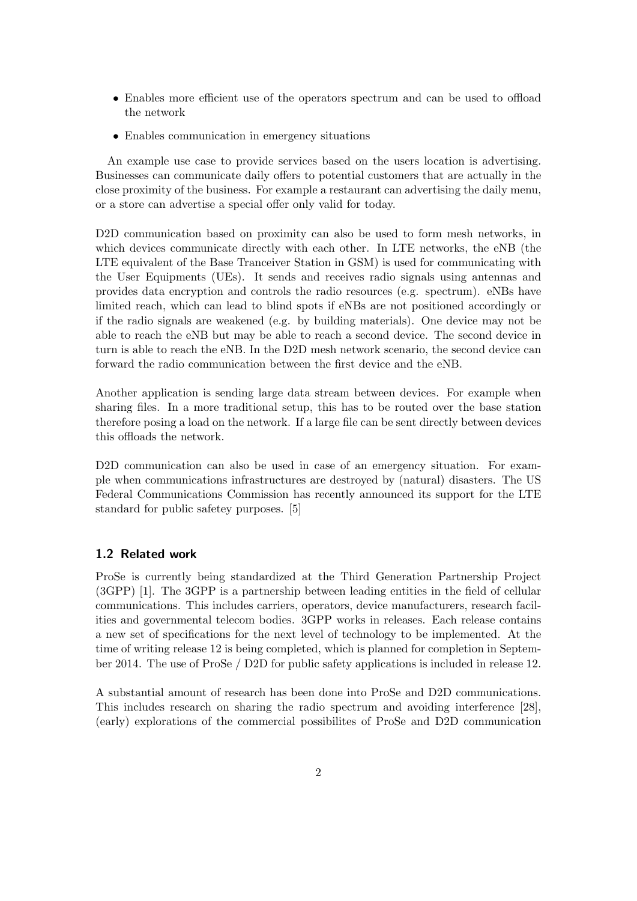- Enables more efficient use of the operators spectrum and can be used to offload the network
- Enables communication in emergency situations

An example use case to provide services based on the users location is advertising. Businesses can communicate daily offers to potential customers that are actually in the close proximity of the business. For example a restaurant can advertising the daily menu, or a store can advertise a special offer only valid for today.

D2D communication based on proximity can also be used to form mesh networks, in which devices communicate directly with each other. In LTE networks, the eNB (the LTE equivalent of the Base Tranceiver Station in GSM) is used for communicating with the User Equipments (UEs). It sends and receives radio signals using antennas and provides data encryption and controls the radio resources (e.g. spectrum). eNBs have limited reach, which can lead to blind spots if eNBs are not positioned accordingly or if the radio signals are weakened (e.g. by building materials). One device may not be able to reach the eNB but may be able to reach a second device. The second device in turn is able to reach the eNB. In the D2D mesh network scenario, the second device can forward the radio communication between the first device and the eNB.

Another application is sending large data stream between devices. For example when sharing files. In a more traditional setup, this has to be routed over the base station therefore posing a load on the network. If a large file can be sent directly between devices this offloads the network.

D<sub>2</sub>D communication can also be used in case of an emergency situation. For example when communications infrastructures are destroyed by (natural) disasters. The US Federal Communications Commission has recently announced its support for the LTE standard for public safetey purposes. [5]

#### 1.2 Related work

ProSe is currently being standardized at the Third Generation Partnership Project (3GPP) [1]. The 3GPP is a partnership between leading entities in the field of cellular communications. This includes carriers, operators, device manufacturers, research facilities and governmental telecom bodies. 3GPP works in releases. Each release contains a new set of specifications for the next level of technology to be implemented. At the time of writing release 12 is being completed, which is planned for completion in September 2014. The use of ProSe / D2D for public safety applications is included in release 12.

A substantial amount of research has been done into ProSe and D2D communications. This includes research on sharing the radio spectrum and avoiding interference [28], (early) explorations of the commercial possibilites of ProSe and D2D communication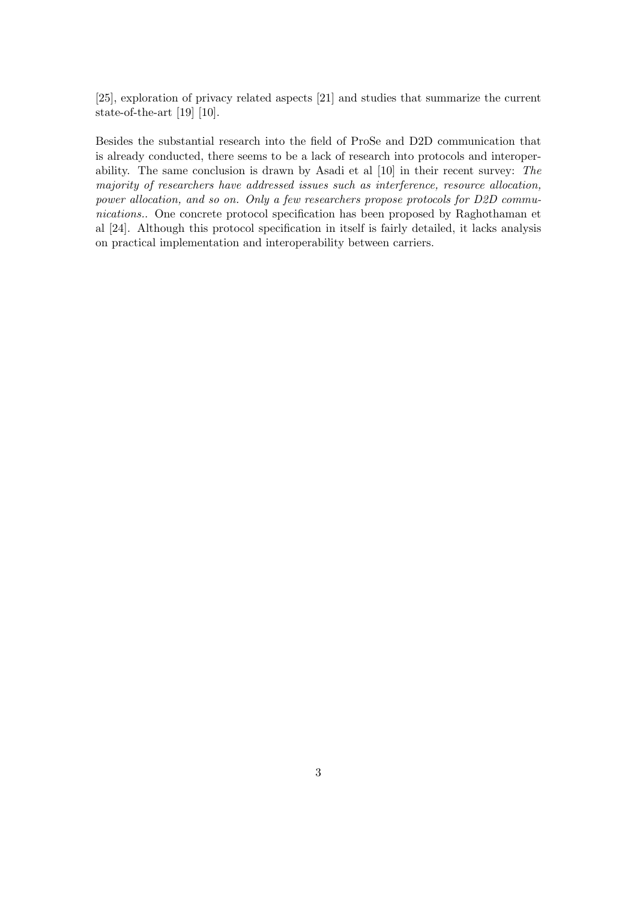[25], exploration of privacy related aspects [21] and studies that summarize the current state-of-the-art [19] [10].

Besides the substantial research into the field of ProSe and D2D communication that is already conducted, there seems to be a lack of research into protocols and interoperability. The same conclusion is drawn by Asadi et al [10] in their recent survey: The majority of researchers have addressed issues such as interference, resource allocation, power allocation, and so on. Only a few researchers propose protocols for D2D communications.. One concrete protocol specification has been proposed by Raghothaman et al [24]. Although this protocol specification in itself is fairly detailed, it lacks analysis on practical implementation and interoperability between carriers.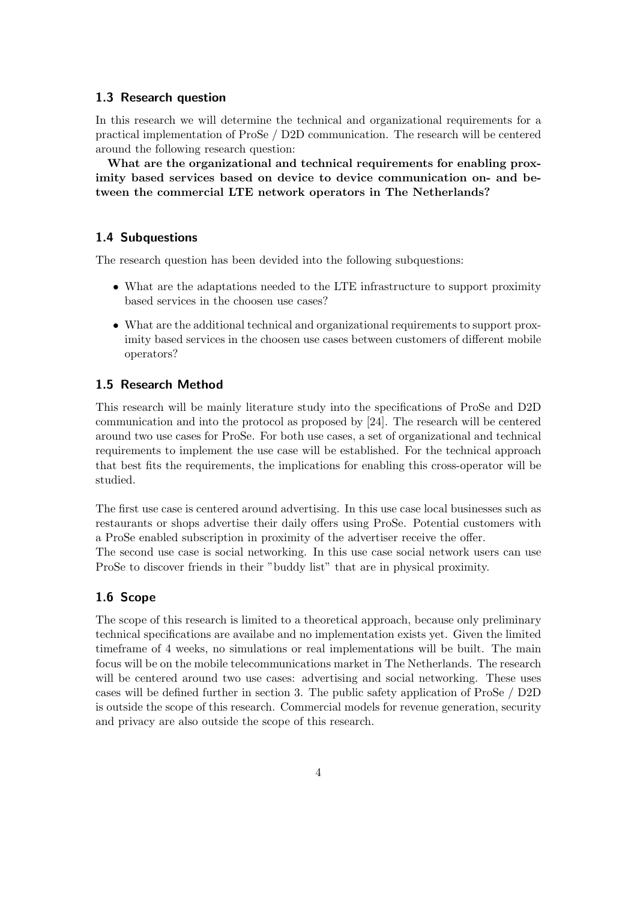#### 1.3 Research question

In this research we will determine the technical and organizational requirements for a practical implementation of ProSe / D2D communication. The research will be centered around the following research question:

What are the organizational and technical requirements for enabling proximity based services based on device to device communication on- and between the commercial LTE network operators in The Netherlands?

#### 1.4 Subquestions

The research question has been devided into the following subquestions:

- What are the adaptations needed to the LTE infrastructure to support proximity based services in the choosen use cases?
- What are the additional technical and organizational requirements to support proximity based services in the choosen use cases between customers of different mobile operators?

#### 1.5 Research Method

This research will be mainly literature study into the specifications of ProSe and D2D communication and into the protocol as proposed by [24]. The research will be centered around two use cases for ProSe. For both use cases, a set of organizational and technical requirements to implement the use case will be established. For the technical approach that best fits the requirements, the implications for enabling this cross-operator will be studied.

The first use case is centered around advertising. In this use case local businesses such as restaurants or shops advertise their daily offers using ProSe. Potential customers with a ProSe enabled subscription in proximity of the advertiser receive the offer.

The second use case is social networking. In this use case social network users can use ProSe to discover friends in their "buddy list" that are in physical proximity.

#### 1.6 Scope

The scope of this research is limited to a theoretical approach, because only preliminary technical specifications are availabe and no implementation exists yet. Given the limited timeframe of 4 weeks, no simulations or real implementations will be built. The main focus will be on the mobile telecommunications market in The Netherlands. The research will be centered around two use cases: advertising and social networking. These uses cases will be defined further in section 3. The public safety application of ProSe / D2D is outside the scope of this research. Commercial models for revenue generation, security and privacy are also outside the scope of this research.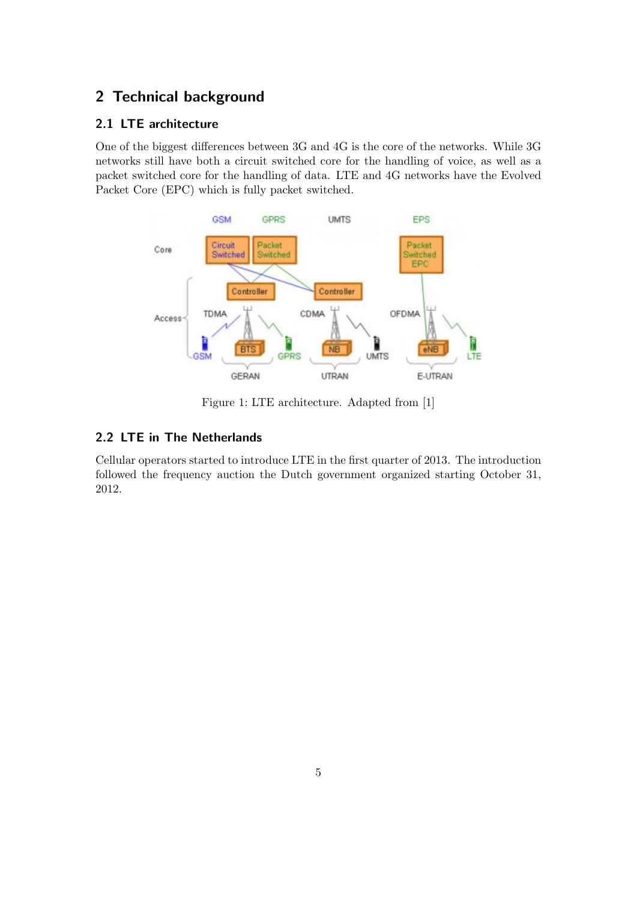## 2 Technical background

## 2.1 LTE architecture

One of the biggest differences between 3G and 4G is the core of the networks. While 3G networks still have both a circuit switched core for the handling of voice, as well as a packet switched core for the handling of data. LTE and 4G networks have the Evolved Packet Core (EPC) which is fully packet switched.



Figure 1: LTE architecture. Adapted from [1]

## 2.2 LTE in The Netherlands

Cellular operators started to introduce LTE in the first quarter of 2013. The introduction followed the frequency auction the Dutch government organized starting October 31, 2012.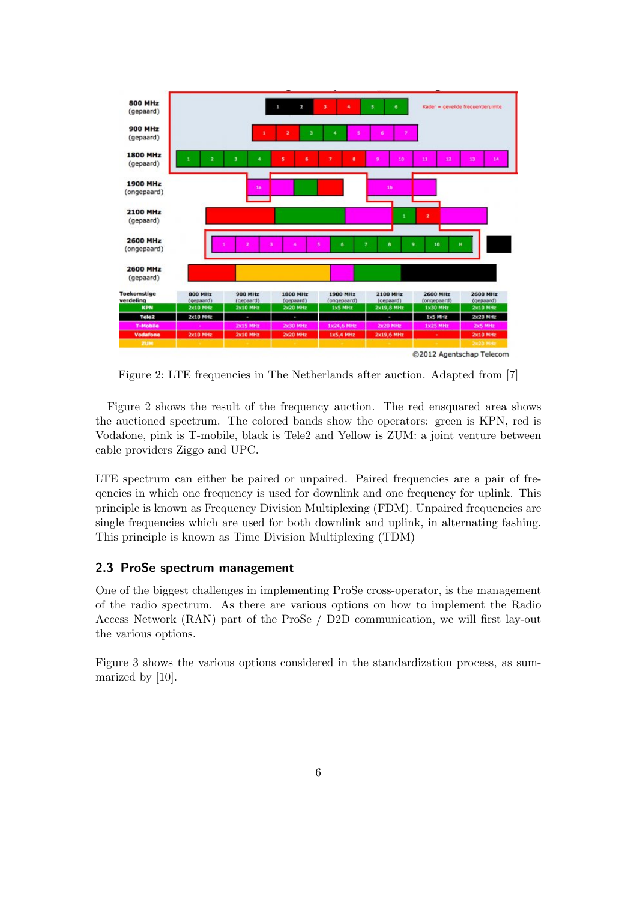

Figure 2: LTE frequencies in The Netherlands after auction. Adapted from [7]

Figure 2 shows the result of the frequency auction. The red ensquared area shows the auctioned spectrum. The colored bands show the operators: green is KPN, red is Vodafone, pink is T-mobile, black is Tele2 and Yellow is ZUM: a joint venture between cable providers Ziggo and UPC.

LTE spectrum can either be paired or unpaired. Paired frequencies are a pair of freqencies in which one frequency is used for downlink and one frequency for uplink. This principle is known as Frequency Division Multiplexing (FDM). Unpaired frequencies are single frequencies which are used for both downlink and uplink, in alternating fashing. This principle is known as Time Division Multiplexing (TDM)

#### 2.3 ProSe spectrum management

One of the biggest challenges in implementing ProSe cross-operator, is the management of the radio spectrum. As there are various options on how to implement the Radio Access Network (RAN) part of the ProSe / D2D communication, we will first lay-out the various options.

Figure 3 shows the various options considered in the standardization process, as summarized by [10].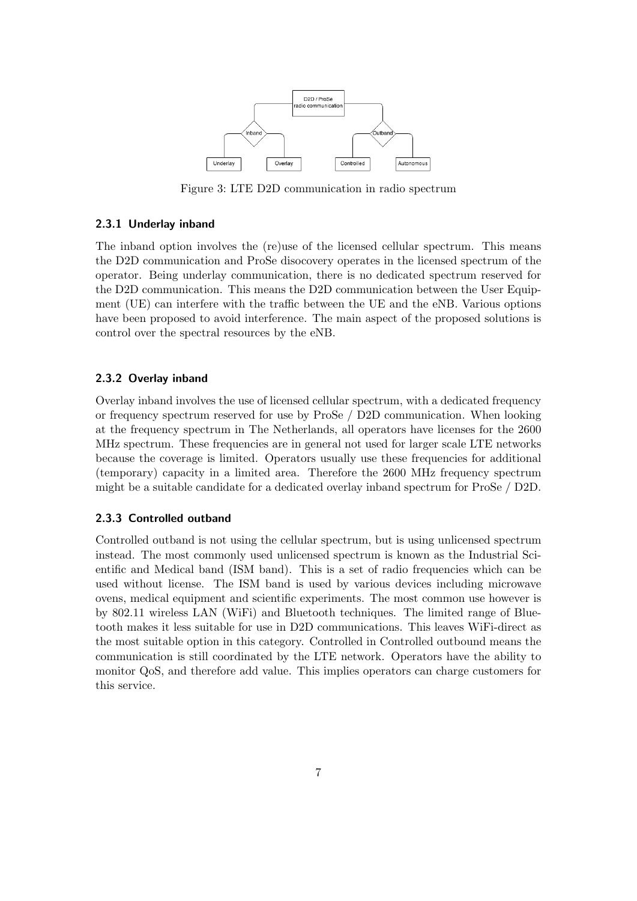

Figure 3: LTE D2D communication in radio spectrum

#### 2.3.1 Underlay inband

The inband option involves the (re)use of the licensed cellular spectrum. This means the D2D communication and ProSe disocovery operates in the licensed spectrum of the operator. Being underlay communication, there is no dedicated spectrum reserved for the D2D communication. This means the D2D communication between the User Equipment (UE) can interfere with the traffic between the UE and the eNB. Various options have been proposed to avoid interference. The main aspect of the proposed solutions is control over the spectral resources by the eNB.

#### 2.3.2 Overlay inband

Overlay inband involves the use of licensed cellular spectrum, with a dedicated frequency or frequency spectrum reserved for use by ProSe / D2D communication. When looking at the frequency spectrum in The Netherlands, all operators have licenses for the 2600 MHz spectrum. These frequencies are in general not used for larger scale LTE networks because the coverage is limited. Operators usually use these frequencies for additional (temporary) capacity in a limited area. Therefore the 2600 MHz frequency spectrum might be a suitable candidate for a dedicated overlay inband spectrum for ProSe / D2D.

#### 2.3.3 Controlled outband

Controlled outband is not using the cellular spectrum, but is using unlicensed spectrum instead. The most commonly used unlicensed spectrum is known as the Industrial Scientific and Medical band (ISM band). This is a set of radio frequencies which can be used without license. The ISM band is used by various devices including microwave ovens, medical equipment and scientific experiments. The most common use however is by 802.11 wireless LAN (WiFi) and Bluetooth techniques. The limited range of Bluetooth makes it less suitable for use in D2D communications. This leaves WiFi-direct as the most suitable option in this category. Controlled in Controlled outbound means the communication is still coordinated by the LTE network. Operators have the ability to monitor QoS, and therefore add value. This implies operators can charge customers for this service.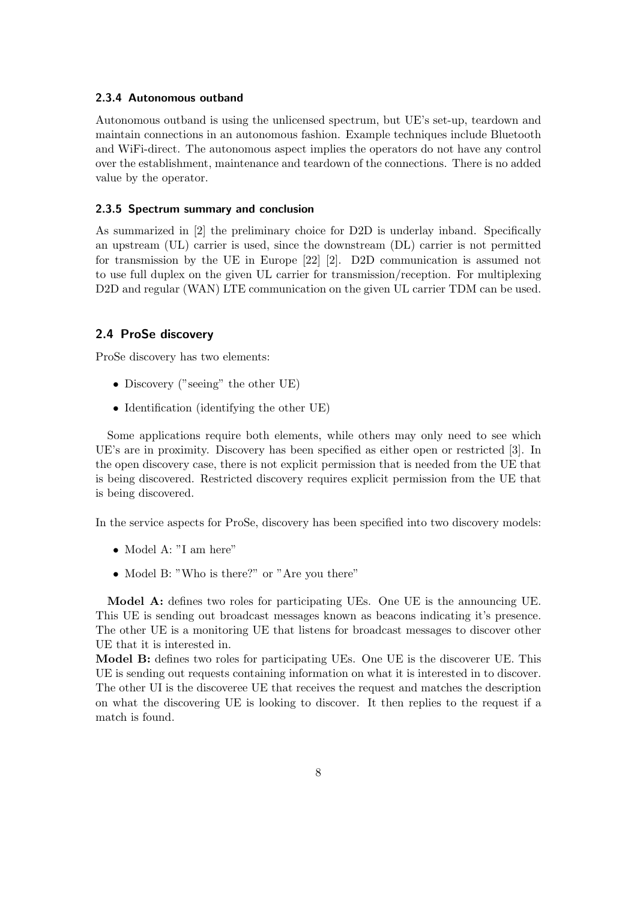#### 2.3.4 Autonomous outband

Autonomous outband is using the unlicensed spectrum, but UE's set-up, teardown and maintain connections in an autonomous fashion. Example techniques include Bluetooth and WiFi-direct. The autonomous aspect implies the operators do not have any control over the establishment, maintenance and teardown of the connections. There is no added value by the operator.

#### 2.3.5 Spectrum summary and conclusion

As summarized in [2] the preliminary choice for D2D is underlay inband. Specifically an upstream (UL) carrier is used, since the downstream (DL) carrier is not permitted for transmission by the UE in Europe [22] [2]. D2D communication is assumed not to use full duplex on the given UL carrier for transmission/reception. For multiplexing D2D and regular (WAN) LTE communication on the given UL carrier TDM can be used.

#### 2.4 ProSe discovery

ProSe discovery has two elements:

- Discovery ("seeing" the other UE)
- Identification (identifying the other UE)

Some applications require both elements, while others may only need to see which UE's are in proximity. Discovery has been specified as either open or restricted [3]. In the open discovery case, there is not explicit permission that is needed from the UE that is being discovered. Restricted discovery requires explicit permission from the UE that is being discovered.

In the service aspects for ProSe, discovery has been specified into two discovery models:

- Model A: "I am here"
- Model B: "Who is there?" or "Are you there"

Model A: defines two roles for participating UEs. One UE is the announcing UE. This UE is sending out broadcast messages known as beacons indicating it's presence. The other UE is a monitoring UE that listens for broadcast messages to discover other UE that it is interested in.

Model B: defines two roles for participating UEs. One UE is the discoverer UE. This UE is sending out requests containing information on what it is interested in to discover. The other UI is the discoveree UE that receives the request and matches the description on what the discovering UE is looking to discover. It then replies to the request if a match is found.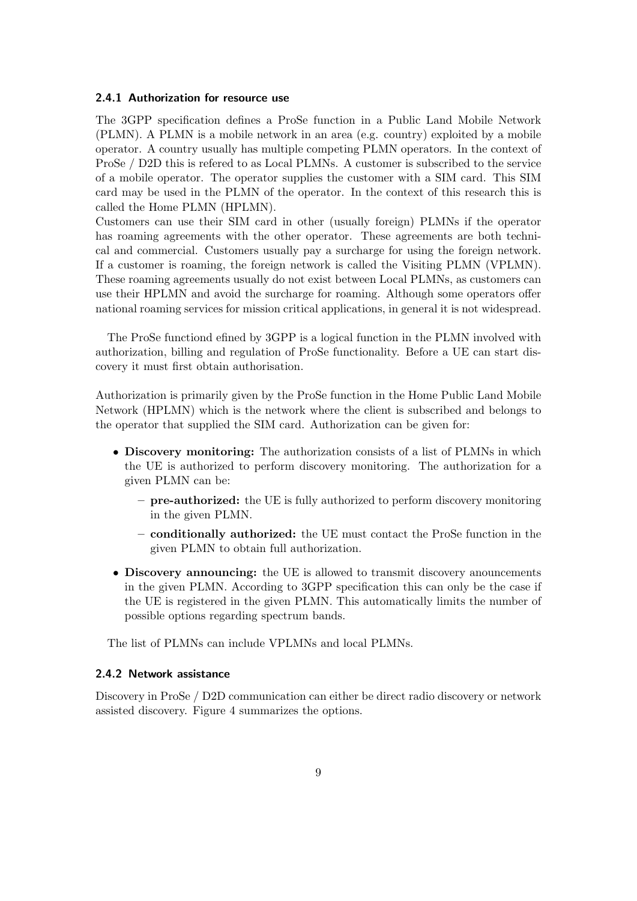#### 2.4.1 Authorization for resource use

The 3GPP specification defines a ProSe function in a Public Land Mobile Network (PLMN). A PLMN is a mobile network in an area (e.g. country) exploited by a mobile operator. A country usually has multiple competing PLMN operators. In the context of ProSe / D2D this is refered to as Local PLMNs. A customer is subscribed to the service of a mobile operator. The operator supplies the customer with a SIM card. This SIM card may be used in the PLMN of the operator. In the context of this research this is called the Home PLMN (HPLMN).

Customers can use their SIM card in other (usually foreign) PLMNs if the operator has roaming agreements with the other operator. These agreements are both technical and commercial. Customers usually pay a surcharge for using the foreign network. If a customer is roaming, the foreign network is called the Visiting PLMN (VPLMN). These roaming agreements usually do not exist between Local PLMNs, as customers can use their HPLMN and avoid the surcharge for roaming. Although some operators offer national roaming services for mission critical applications, in general it is not widespread.

The ProSe functiond efined by 3GPP is a logical function in the PLMN involved with authorization, billing and regulation of ProSe functionality. Before a UE can start discovery it must first obtain authorisation.

Authorization is primarily given by the ProSe function in the Home Public Land Mobile Network (HPLMN) which is the network where the client is subscribed and belongs to the operator that supplied the SIM card. Authorization can be given for:

- Discovery monitoring: The authorization consists of a list of PLMNs in which the UE is authorized to perform discovery monitoring. The authorization for a given PLMN can be:
	- pre-authorized: the UE is fully authorized to perform discovery monitoring in the given PLMN.
	- conditionally authorized: the UE must contact the ProSe function in the given PLMN to obtain full authorization.
- Discovery announcing: the UE is allowed to transmit discovery anouncements in the given PLMN. According to 3GPP specification this can only be the case if the UE is registered in the given PLMN. This automatically limits the number of possible options regarding spectrum bands.

The list of PLMNs can include VPLMNs and local PLMNs.

#### 2.4.2 Network assistance

Discovery in ProSe / D2D communication can either be direct radio discovery or network assisted discovery. Figure 4 summarizes the options.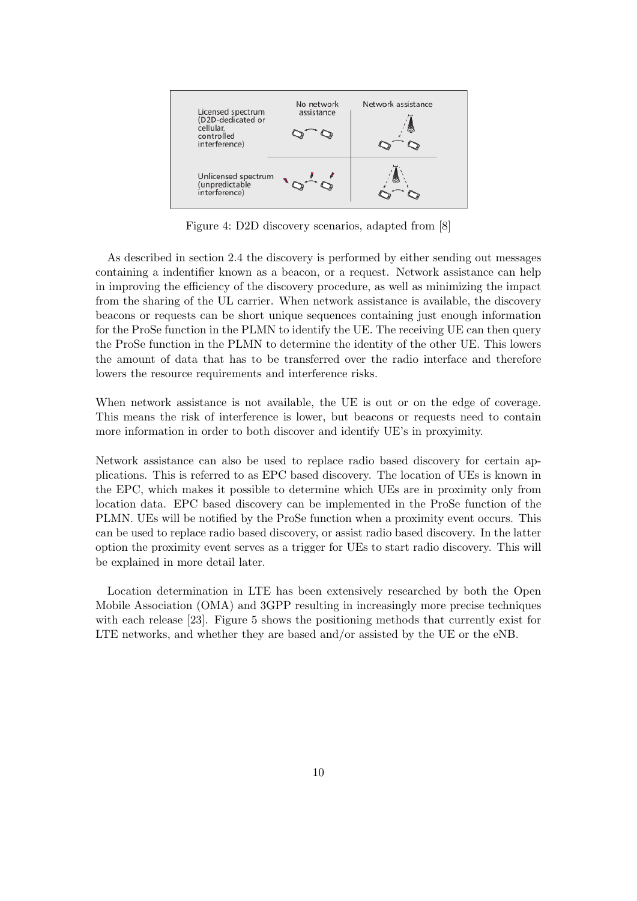

Figure 4: D2D discovery scenarios, adapted from [8]

As described in section 2.4 the discovery is performed by either sending out messages containing a indentifier known as a beacon, or a request. Network assistance can help in improving the efficiency of the discovery procedure, as well as minimizing the impact from the sharing of the UL carrier. When network assistance is available, the discovery beacons or requests can be short unique sequences containing just enough information for the ProSe function in the PLMN to identify the UE. The receiving UE can then query the ProSe function in the PLMN to determine the identity of the other UE. This lowers the amount of data that has to be transferred over the radio interface and therefore lowers the resource requirements and interference risks.

When network assistance is not available, the UE is out or on the edge of coverage. This means the risk of interference is lower, but beacons or requests need to contain more information in order to both discover and identify UE's in proxyimity.

Network assistance can also be used to replace radio based discovery for certain applications. This is referred to as EPC based discovery. The location of UEs is known in the EPC, which makes it possible to determine which UEs are in proximity only from location data. EPC based discovery can be implemented in the ProSe function of the PLMN. UEs will be notified by the ProSe function when a proximity event occurs. This can be used to replace radio based discovery, or assist radio based discovery. In the latter option the proximity event serves as a trigger for UEs to start radio discovery. This will be explained in more detail later.

Location determination in LTE has been extensively researched by both the Open Mobile Association (OMA) and 3GPP resulting in increasingly more precise techniques with each release [23]. Figure 5 shows the positioning methods that currently exist for LTE networks, and whether they are based and/or assisted by the UE or the eNB.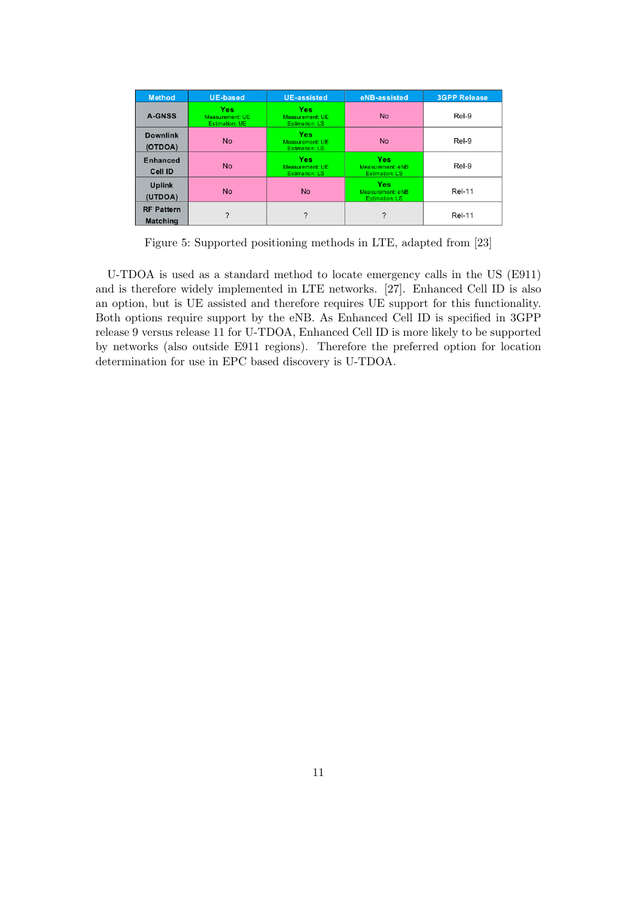| <b>Method</b>                        | <b>UE-based</b>                                 | <b>UE-assisted</b>                                     | eNB-assisted                                            | <b>3GPP Release</b> |
|--------------------------------------|-------------------------------------------------|--------------------------------------------------------|---------------------------------------------------------|---------------------|
| <b>A-GNSS</b>                        | <b>Yes</b><br>Measurement: UE<br>Estimation: UE | <b>Yes</b><br>Measurement: UE<br><b>Estimation: LS</b> | <b>No</b>                                               | Rel-9               |
| <b>Downlink</b><br>(OTDOA)           | <b>No</b>                                       | <b>Yes</b><br>Measurement: UE<br><b>Estimation: LS</b> | <b>No</b>                                               | Rel-9               |
| <b>Enhanced</b><br>Cell ID           | <b>No</b>                                       | Yes<br>Measurement: UE<br><b>Estimation: LS</b>        | <b>Yes</b><br>Measurement: eNB<br><b>Estimation: LS</b> | Rel-9               |
| <b>Uplink</b><br>(UTDOA)             | <b>No</b>                                       | <b>No</b>                                              | <b>Yes</b><br>Measurement: eNB<br><b>Estimation: LS</b> | <b>Rel-11</b>       |
| <b>RF Pattern</b><br><b>Matching</b> | $\mathcal{P}$                                   | ?                                                      | ?                                                       | <b>Rel-11</b>       |

Figure 5: Supported positioning methods in LTE, adapted from [23]

U-TDOA is used as a standard method to locate emergency calls in the US (E911) and is therefore widely implemented in LTE networks. [27]. Enhanced Cell ID is also an option, but is UE assisted and therefore requires UE support for this functionality. Both options require support by the eNB. As Enhanced Cell ID is specified in 3GPP release 9 versus release 11 for U-TDOA, Enhanced Cell ID is more likely to be supported by networks (also outside E911 regions). Therefore the preferred option for location determination for use in EPC based discovery is U-TDOA.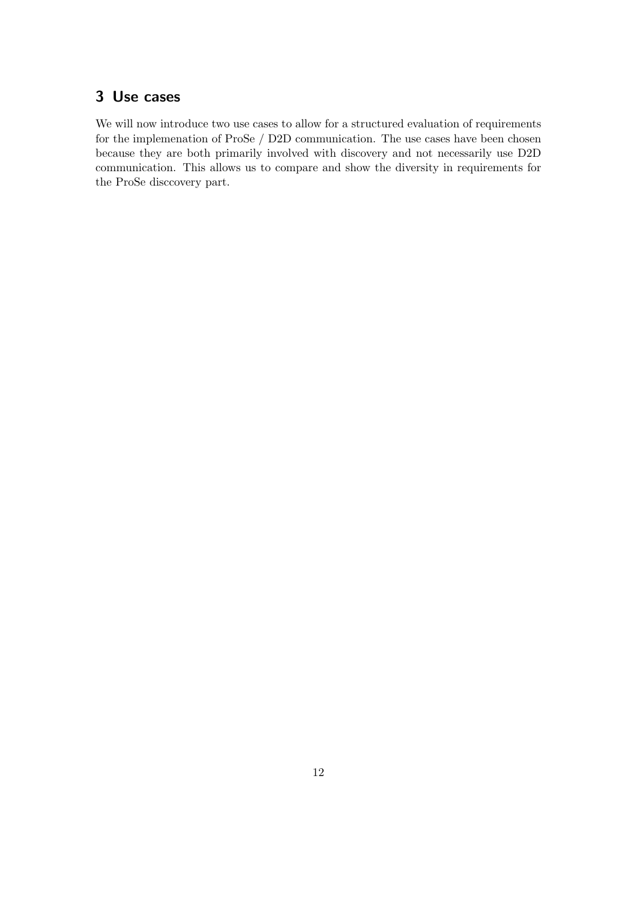## 3 Use cases

We will now introduce two use cases to allow for a structured evaluation of requirements for the implemenation of ProSe / D2D communication. The use cases have been chosen because they are both primarily involved with discovery and not necessarily use D2D communication. This allows us to compare and show the diversity in requirements for the ProSe disccovery part.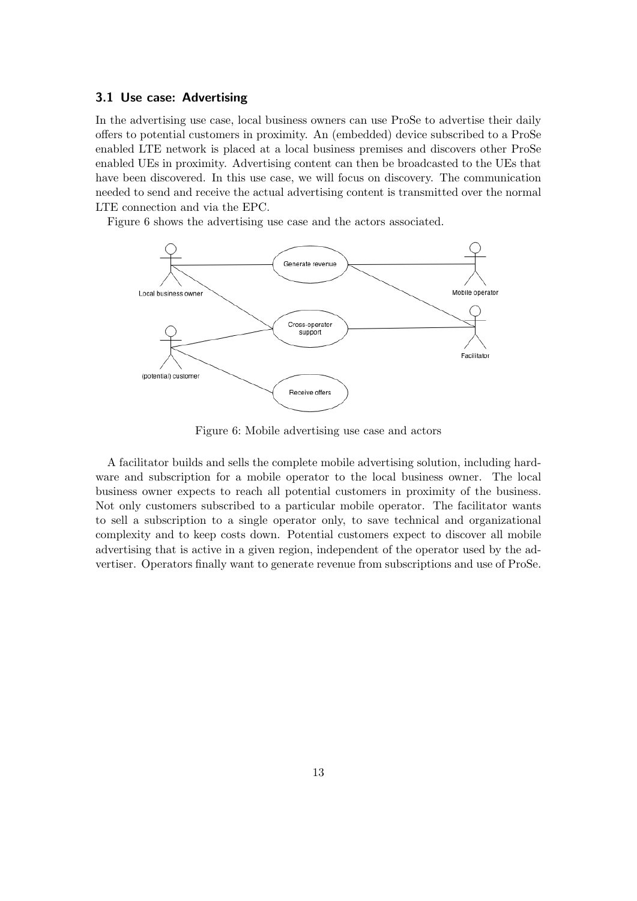#### 3.1 Use case: Advertising

In the advertising use case, local business owners can use ProSe to advertise their daily offers to potential customers in proximity. An (embedded) device subscribed to a ProSe enabled LTE network is placed at a local business premises and discovers other ProSe enabled UEs in proximity. Advertising content can then be broadcasted to the UEs that have been discovered. In this use case, we will focus on discovery. The communication needed to send and receive the actual advertising content is transmitted over the normal LTE connection and via the EPC.

Figure 6 shows the advertising use case and the actors associated.



Figure 6: Mobile advertising use case and actors

A facilitator builds and sells the complete mobile advertising solution, including hardware and subscription for a mobile operator to the local business owner. The local business owner expects to reach all potential customers in proximity of the business. Not only customers subscribed to a particular mobile operator. The facilitator wants to sell a subscription to a single operator only, to save technical and organizational complexity and to keep costs down. Potential customers expect to discover all mobile advertising that is active in a given region, independent of the operator used by the advertiser. Operators finally want to generate revenue from subscriptions and use of ProSe.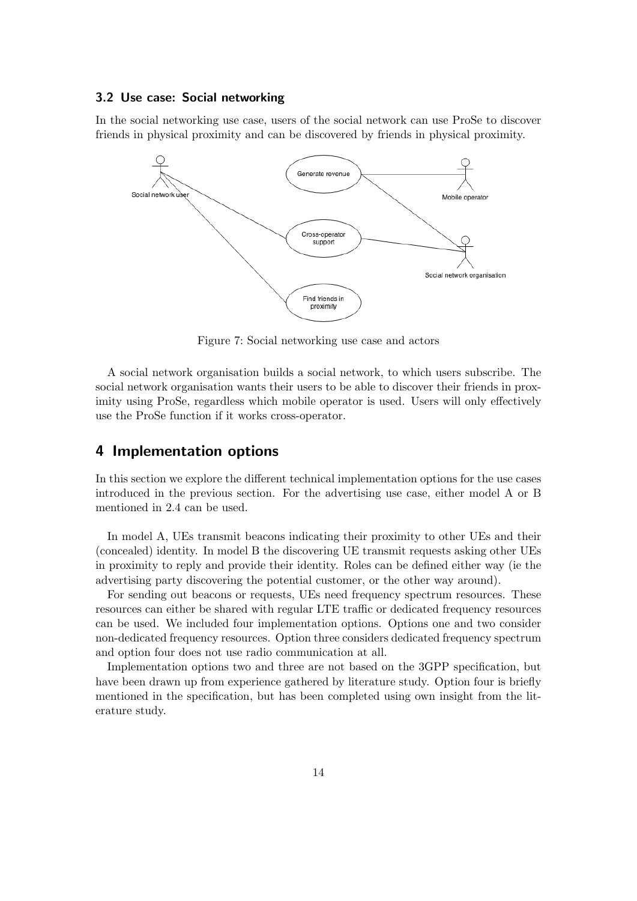#### 3.2 Use case: Social networking

In the social networking use case, users of the social network can use ProSe to discover friends in physical proximity and can be discovered by friends in physical proximity.



Figure 7: Social networking use case and actors

A social network organisation builds a social network, to which users subscribe. The social network organisation wants their users to be able to discover their friends in proximity using ProSe, regardless which mobile operator is used. Users will only effectively use the ProSe function if it works cross-operator.

## 4 Implementation options

In this section we explore the different technical implementation options for the use cases introduced in the previous section. For the advertising use case, either model A or B mentioned in 2.4 can be used.

In model A, UEs transmit beacons indicating their proximity to other UEs and their (concealed) identity. In model B the discovering UE transmit requests asking other UEs in proximity to reply and provide their identity. Roles can be defined either way (ie the advertising party discovering the potential customer, or the other way around).

For sending out beacons or requests, UEs need frequency spectrum resources. These resources can either be shared with regular LTE traffic or dedicated frequency resources can be used. We included four implementation options. Options one and two consider non-dedicated frequency resources. Option three considers dedicated frequency spectrum and option four does not use radio communication at all.

Implementation options two and three are not based on the 3GPP specification, but have been drawn up from experience gathered by literature study. Option four is briefly mentioned in the specification, but has been completed using own insight from the literature study.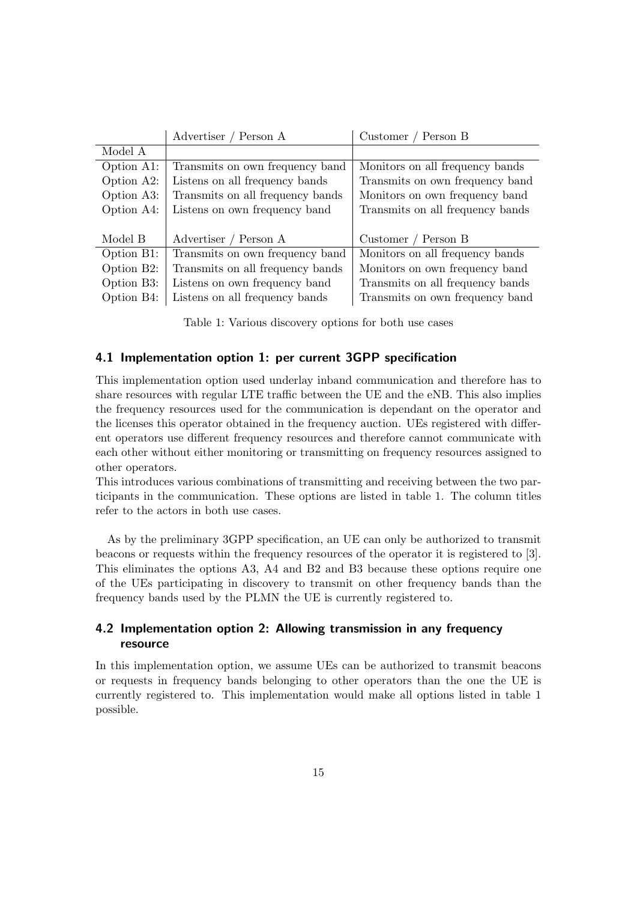|                         | Advertiser / Person A            | Customer / Person B              |
|-------------------------|----------------------------------|----------------------------------|
| Model A                 |                                  |                                  |
| Option A1:              | Transmits on own frequency band  | Monitors on all frequency bands  |
| Option A2:              | Listens on all frequency bands   | Transmits on own frequency band  |
| Option A3:              | Transmits on all frequency bands | Monitors on own frequency band   |
| Option A4:              | Listens on own frequency band    | Transmits on all frequency bands |
|                         |                                  |                                  |
| Model B                 | Advertiser / Person A            | Customer / Person B              |
| Option B1:              | Transmits on own frequency band  | Monitors on all frequency bands  |
| Option B <sub>2</sub> : | Transmits on all frequency bands | Monitors on own frequency band   |
| Option B3:              | Listens on own frequency band    | Transmits on all frequency bands |
| Option B4:              | Listens on all frequency bands   | Transmits on own frequency band  |

Table 1: Various discovery options for both use cases

#### 4.1 Implementation option 1: per current 3GPP specification

This implementation option used underlay inband communication and therefore has to share resources with regular LTE traffic between the UE and the eNB. This also implies the frequency resources used for the communication is dependant on the operator and the licenses this operator obtained in the frequency auction. UEs registered with different operators use different frequency resources and therefore cannot communicate with each other without either monitoring or transmitting on frequency resources assigned to other operators.

This introduces various combinations of transmitting and receiving between the two participants in the communication. These options are listed in table 1. The column titles refer to the actors in both use cases.

As by the preliminary 3GPP specification, an UE can only be authorized to transmit beacons or requests within the frequency resources of the operator it is registered to [3]. This eliminates the options A3, A4 and B2 and B3 because these options require one of the UEs participating in discovery to transmit on other frequency bands than the frequency bands used by the PLMN the UE is currently registered to.

### 4.2 Implementation option 2: Allowing transmission in any frequency resource

In this implementation option, we assume UEs can be authorized to transmit beacons or requests in frequency bands belonging to other operators than the one the UE is currently registered to. This implementation would make all options listed in table 1 possible.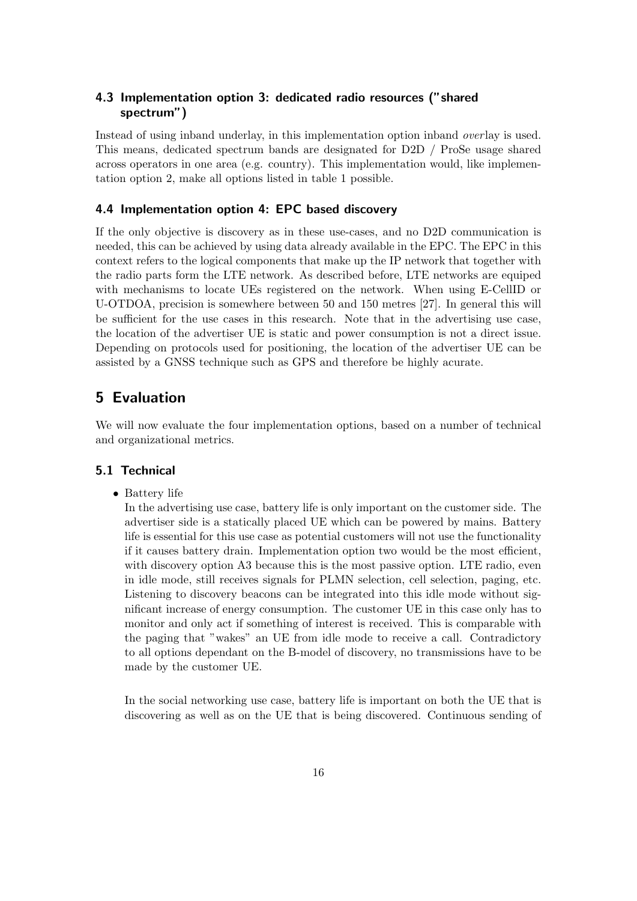### 4.3 Implementation option 3: dedicated radio resources ("shared spectrum")

Instead of using inband underlay, in this implementation option inband *overlay* is used. This means, dedicated spectrum bands are designated for D2D / ProSe usage shared across operators in one area (e.g. country). This implementation would, like implementation option 2, make all options listed in table 1 possible.

#### 4.4 Implementation option 4: EPC based discovery

If the only objective is discovery as in these use-cases, and no D2D communication is needed, this can be achieved by using data already available in the EPC. The EPC in this context refers to the logical components that make up the IP network that together with the radio parts form the LTE network. As described before, LTE networks are equiped with mechanisms to locate UEs registered on the network. When using E-CellID or U-OTDOA, precision is somewhere between 50 and 150 metres [27]. In general this will be sufficient for the use cases in this research. Note that in the advertising use case, the location of the advertiser UE is static and power consumption is not a direct issue. Depending on protocols used for positioning, the location of the advertiser UE can be assisted by a GNSS technique such as GPS and therefore be highly acurate.

## 5 Evaluation

We will now evaluate the four implementation options, based on a number of technical and organizational metrics.

#### 5.1 Technical

• Battery life

In the advertising use case, battery life is only important on the customer side. The advertiser side is a statically placed UE which can be powered by mains. Battery life is essential for this use case as potential customers will not use the functionality if it causes battery drain. Implementation option two would be the most efficient, with discovery option A3 because this is the most passive option. LTE radio, even in idle mode, still receives signals for PLMN selection, cell selection, paging, etc. Listening to discovery beacons can be integrated into this idle mode without significant increase of energy consumption. The customer UE in this case only has to monitor and only act if something of interest is received. This is comparable with the paging that "wakes" an UE from idle mode to receive a call. Contradictory to all options dependant on the B-model of discovery, no transmissions have to be made by the customer UE.

In the social networking use case, battery life is important on both the UE that is discovering as well as on the UE that is being discovered. Continuous sending of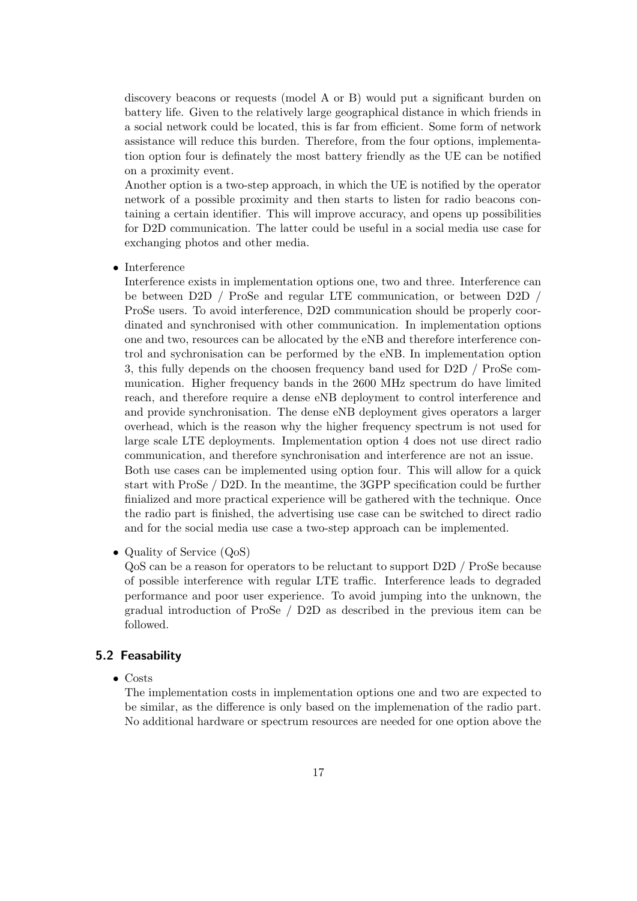discovery beacons or requests (model A or B) would put a significant burden on battery life. Given to the relatively large geographical distance in which friends in a social network could be located, this is far from efficient. Some form of network assistance will reduce this burden. Therefore, from the four options, implementation option four is definately the most battery friendly as the UE can be notified on a proximity event.

Another option is a two-step approach, in which the UE is notified by the operator network of a possible proximity and then starts to listen for radio beacons containing a certain identifier. This will improve accuracy, and opens up possibilities for D2D communication. The latter could be useful in a social media use case for exchanging photos and other media.

• Interference

Interference exists in implementation options one, two and three. Interference can be between D2D / ProSe and regular LTE communication, or between D2D / ProSe users. To avoid interference, D2D communication should be properly coordinated and synchronised with other communication. In implementation options one and two, resources can be allocated by the eNB and therefore interference control and sychronisation can be performed by the eNB. In implementation option 3, this fully depends on the choosen frequency band used for D2D / ProSe communication. Higher frequency bands in the 2600 MHz spectrum do have limited reach, and therefore require a dense eNB deployment to control interference and and provide synchronisation. The dense eNB deployment gives operators a larger overhead, which is the reason why the higher frequency spectrum is not used for large scale LTE deployments. Implementation option 4 does not use direct radio communication, and therefore synchronisation and interference are not an issue. Both use cases can be implemented using option four. This will allow for a quick start with ProSe / D2D. In the meantime, the 3GPP specification could be further finialized and more practical experience will be gathered with the technique. Once the radio part is finished, the advertising use case can be switched to direct radio and for the social media use case a two-step approach can be implemented.

• Quality of Service (QoS)

QoS can be a reason for operators to be reluctant to support D2D / ProSe because of possible interference with regular LTE traffic. Interference leads to degraded performance and poor user experience. To avoid jumping into the unknown, the gradual introduction of ProSe / D2D as described in the previous item can be followed.

## 5.2 Feasability

• Costs

The implementation costs in implementation options one and two are expected to be similar, as the difference is only based on the implemenation of the radio part. No additional hardware or spectrum resources are needed for one option above the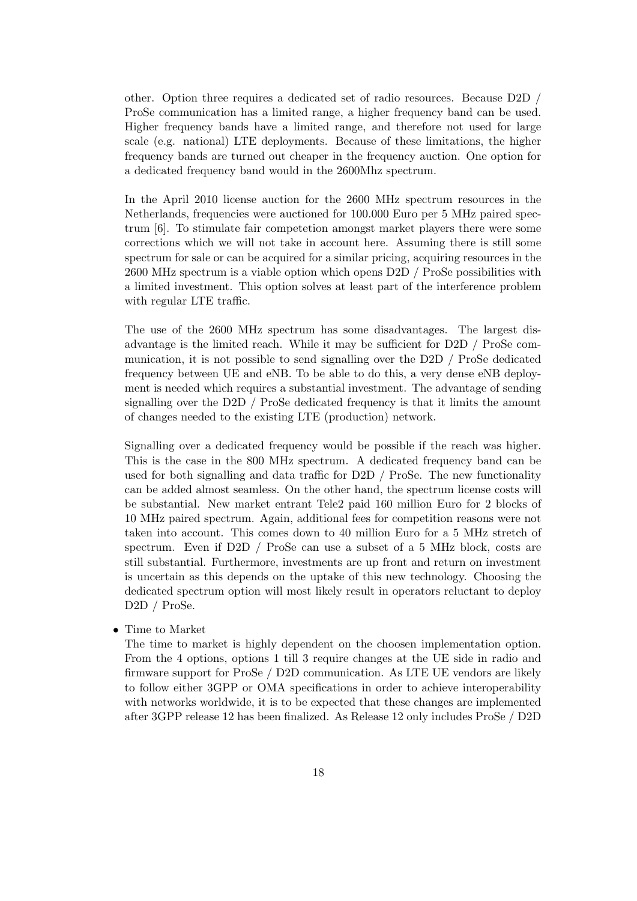other. Option three requires a dedicated set of radio resources. Because D2D / ProSe communication has a limited range, a higher frequency band can be used. Higher frequency bands have a limited range, and therefore not used for large scale (e.g. national) LTE deployments. Because of these limitations, the higher frequency bands are turned out cheaper in the frequency auction. One option for a dedicated frequency band would in the 2600Mhz spectrum.

In the April 2010 license auction for the 2600 MHz spectrum resources in the Netherlands, frequencies were auctioned for 100.000 Euro per 5 MHz paired spectrum [6]. To stimulate fair competetion amongst market players there were some corrections which we will not take in account here. Assuming there is still some spectrum for sale or can be acquired for a similar pricing, acquiring resources in the 2600 MHz spectrum is a viable option which opens D2D / ProSe possibilities with a limited investment. This option solves at least part of the interference problem with regular LTE traffic.

The use of the 2600 MHz spectrum has some disadvantages. The largest disadvantage is the limited reach. While it may be sufficient for D2D / ProSe communication, it is not possible to send signalling over the D2D / ProSe dedicated frequency between UE and eNB. To be able to do this, a very dense eNB deployment is needed which requires a substantial investment. The advantage of sending signalling over the D2D / ProSe dedicated frequency is that it limits the amount of changes needed to the existing LTE (production) network.

Signalling over a dedicated frequency would be possible if the reach was higher. This is the case in the 800 MHz spectrum. A dedicated frequency band can be used for both signalling and data traffic for D2D / ProSe. The new functionality can be added almost seamless. On the other hand, the spectrum license costs will be substantial. New market entrant Tele2 paid 160 million Euro for 2 blocks of 10 MHz paired spectrum. Again, additional fees for competition reasons were not taken into account. This comes down to 40 million Euro for a 5 MHz stretch of spectrum. Even if D2D / ProSe can use a subset of a 5 MHz block, costs are still substantial. Furthermore, investments are up front and return on investment is uncertain as this depends on the uptake of this new technology. Choosing the dedicated spectrum option will most likely result in operators reluctant to deploy D2D / ProSe.

• Time to Market

The time to market is highly dependent on the choosen implementation option. From the 4 options, options 1 till 3 require changes at the UE side in radio and firmware support for ProSe / D2D communication. As LTE UE vendors are likely to follow either 3GPP or OMA specifications in order to achieve interoperability with networks worldwide, it is to be expected that these changes are implemented after 3GPP release 12 has been finalized. As Release 12 only includes ProSe / D2D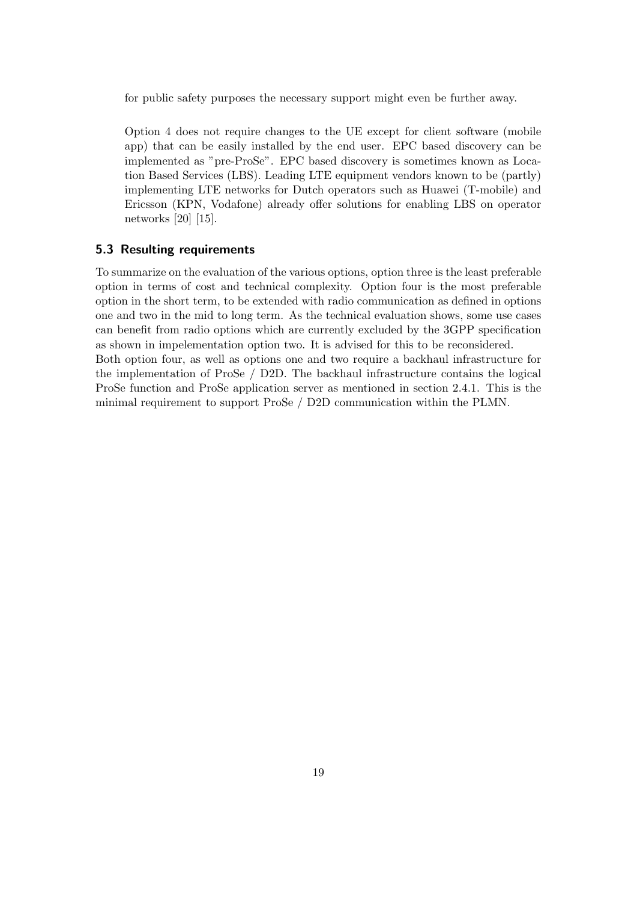for public safety purposes the necessary support might even be further away.

Option 4 does not require changes to the UE except for client software (mobile app) that can be easily installed by the end user. EPC based discovery can be implemented as "pre-ProSe". EPC based discovery is sometimes known as Location Based Services (LBS). Leading LTE equipment vendors known to be (partly) implementing LTE networks for Dutch operators such as Huawei (T-mobile) and Ericsson (KPN, Vodafone) already offer solutions for enabling LBS on operator networks [20] [15].

#### 5.3 Resulting requirements

To summarize on the evaluation of the various options, option three is the least preferable option in terms of cost and technical complexity. Option four is the most preferable option in the short term, to be extended with radio communication as defined in options one and two in the mid to long term. As the technical evaluation shows, some use cases can benefit from radio options which are currently excluded by the 3GPP specification as shown in impelementation option two. It is advised for this to be reconsidered. Both option four, as well as options one and two require a backhaul infrastructure for the implementation of ProSe / D2D. The backhaul infrastructure contains the logical ProSe function and ProSe application server as mentioned in section 2.4.1. This is the minimal requirement to support ProSe / D2D communication within the PLMN.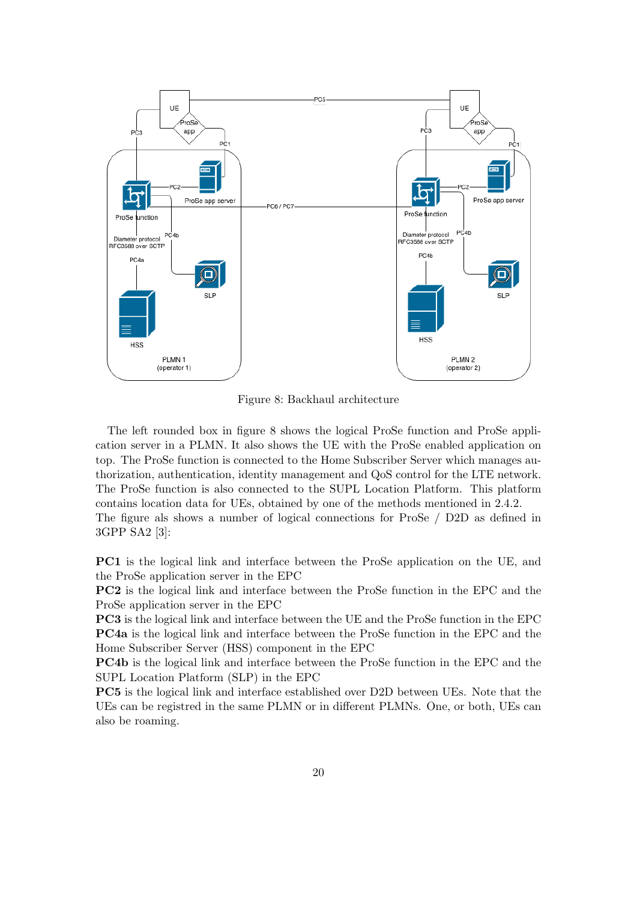

Figure 8: Backhaul architecture

The left rounded box in figure 8 shows the logical ProSe function and ProSe application server in a PLMN. It also shows the UE with the ProSe enabled application on top. The ProSe function is connected to the Home Subscriber Server which manages authorization, authentication, identity management and QoS control for the LTE network. The ProSe function is also connected to the SUPL Location Platform. This platform contains location data for UEs, obtained by one of the methods mentioned in 2.4.2. The figure als shows a number of logical connections for ProSe / D2D as defined in 3GPP SA2 [3]:

PC1 is the logical link and interface between the ProSe application on the UE, and the ProSe application server in the EPC

PC2 is the logical link and interface between the ProSe function in the EPC and the ProSe application server in the EPC

PC3 is the logical link and interface between the UE and the ProSe function in the EPC PC4a is the logical link and interface between the ProSe function in the EPC and the Home Subscriber Server (HSS) component in the EPC

PC4b is the logical link and interface between the ProSe function in the EPC and the SUPL Location Platform (SLP) in the EPC

PC5 is the logical link and interface established over D2D between UEs. Note that the UEs can be registred in the same PLMN or in different PLMNs. One, or both, UEs can also be roaming.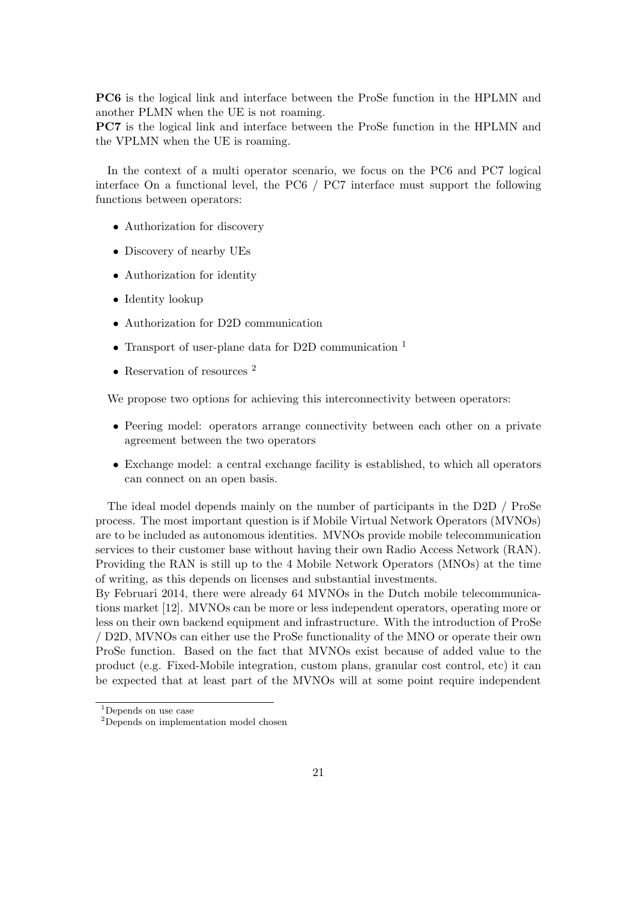PC6 is the logical link and interface between the ProSe function in the HPLMN and another PLMN when the UE is not roaming.

PC7 is the logical link and interface between the ProSe function in the HPLMN and the VPLMN when the UE is roaming.

In the context of a multi operator scenario, we focus on the PC6 and PC7 logical interface On a functional level, the PC6 / PC7 interface must support the following functions between operators:

- Authorization for discovery
- Discovery of nearby UEs
- Authorization for identity
- Identity lookup
- Authorization for D2D communication
- Transport of user-plane data for D2D communication <sup>1</sup>
- Reservation of resources<sup>2</sup>

We propose two options for achieving this interconnectivity between operators:

- Peering model: operators arrange connectivity between each other on a private agreement between the two operators
- Exchange model: a central exchange facility is established, to which all operators can connect on an open basis.

The ideal model depends mainly on the number of participants in the D2D / ProSe process. The most important question is if Mobile Virtual Network Operators (MVNOs) are to be included as autonomous identities. MVNOs provide mobile telecommunication services to their customer base without having their own Radio Access Network (RAN). Providing the RAN is still up to the 4 Mobile Network Operators (MNOs) at the time of writing, as this depends on licenses and substantial investments.

By Februari 2014, there were already 64 MVNOs in the Dutch mobile telecommunications market [12]. MVNOs can be more or less independent operators, operating more or less on their own backend equipment and infrastructure. With the introduction of ProSe / D2D, MVNOs can either use the ProSe functionality of the MNO or operate their own ProSe function. Based on the fact that MVNOs exist because of added value to the product (e.g. Fixed-Mobile integration, custom plans, granular cost control, etc) it can be expected that at least part of the MVNOs will at some point require independent

<sup>1</sup>Depends on use case

<sup>2</sup>Depends on implementation model chosen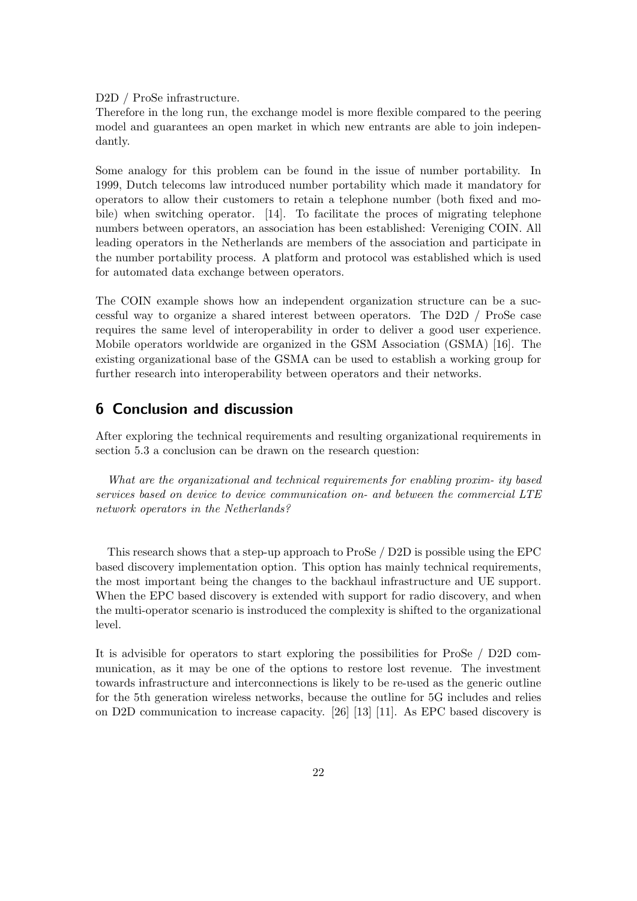D2D / ProSe infrastructure.

Therefore in the long run, the exchange model is more flexible compared to the peering model and guarantees an open market in which new entrants are able to join independantly.

Some analogy for this problem can be found in the issue of number portability. In 1999, Dutch telecoms law introduced number portability which made it mandatory for operators to allow their customers to retain a telephone number (both fixed and mobile) when switching operator. [14]. To facilitate the proces of migrating telephone numbers between operators, an association has been established: Vereniging COIN. All leading operators in the Netherlands are members of the association and participate in the number portability process. A platform and protocol was established which is used for automated data exchange between operators.

The COIN example shows how an independent organization structure can be a successful way to organize a shared interest between operators. The D2D / ProSe case requires the same level of interoperability in order to deliver a good user experience. Mobile operators worldwide are organized in the GSM Association (GSMA) [16]. The existing organizational base of the GSMA can be used to establish a working group for further research into interoperability between operators and their networks.

## 6 Conclusion and discussion

After exploring the technical requirements and resulting organizational requirements in section 5.3 a conclusion can be drawn on the research question:

What are the organizational and technical requirements for enabling proxim- ity based services based on device to device communication on- and between the commercial LTE network operators in the Netherlands?

This research shows that a step-up approach to ProSe / D2D is possible using the EPC based discovery implementation option. This option has mainly technical requirements, the most important being the changes to the backhaul infrastructure and UE support. When the EPC based discovery is extended with support for radio discovery, and when the multi-operator scenario is instroduced the complexity is shifted to the organizational level.

It is advisible for operators to start exploring the possibilities for ProSe / D2D communication, as it may be one of the options to restore lost revenue. The investment towards infrastructure and interconnections is likely to be re-used as the generic outline for the 5th generation wireless networks, because the outline for 5G includes and relies on D2D communication to increase capacity. [26] [13] [11]. As EPC based discovery is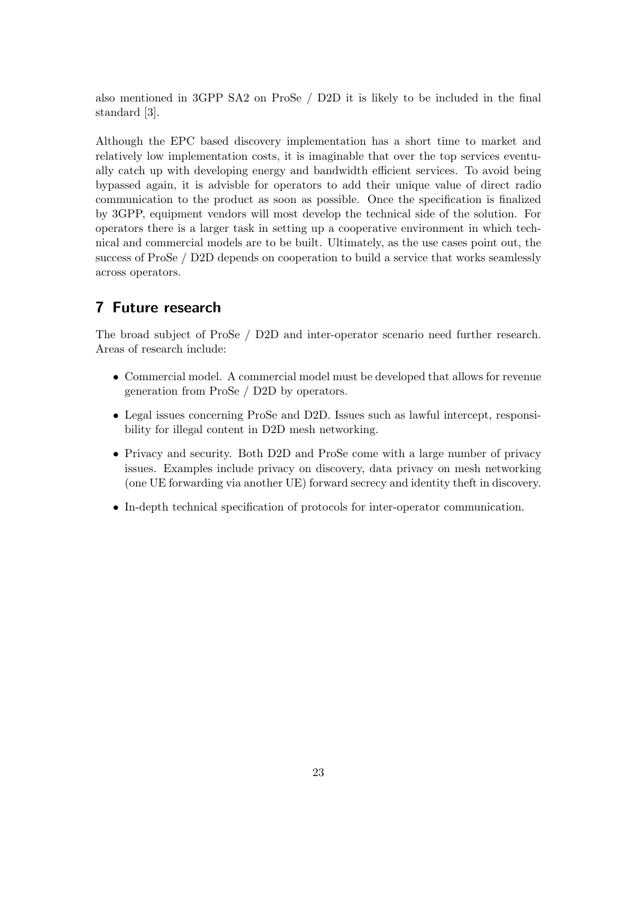also mentioned in 3GPP SA2 on ProSe / D2D it is likely to be included in the final standard [3].

Although the EPC based discovery implementation has a short time to market and relatively low implementation costs, it is imaginable that over the top services eventually catch up with developing energy and bandwidth efficient services. To avoid being bypassed again, it is advisble for operators to add their unique value of direct radio communication to the product as soon as possible. Once the specification is finalized by 3GPP, equipment vendors will most develop the technical side of the solution. For operators there is a larger task in setting up a cooperative environment in which technical and commercial models are to be built. Ultimately, as the use cases point out, the success of ProSe / D2D depends on cooperation to build a service that works seamlessly across operators.

## 7 Future research

The broad subject of ProSe / D2D and inter-operator scenario need further research. Areas of research include:

- Commercial model. A commercial model must be developed that allows for revenue generation from ProSe / D2D by operators.
- Legal issues concerning ProSe and D2D. Issues such as lawful intercept, responsibility for illegal content in D2D mesh networking.
- Privacy and security. Both D2D and ProSe come with a large number of privacy issues. Examples include privacy on discovery, data privacy on mesh networking (one UE forwarding via another UE) forward secrecy and identity theft in discovery.
- In-depth technical specification of protocols for inter-operator communication.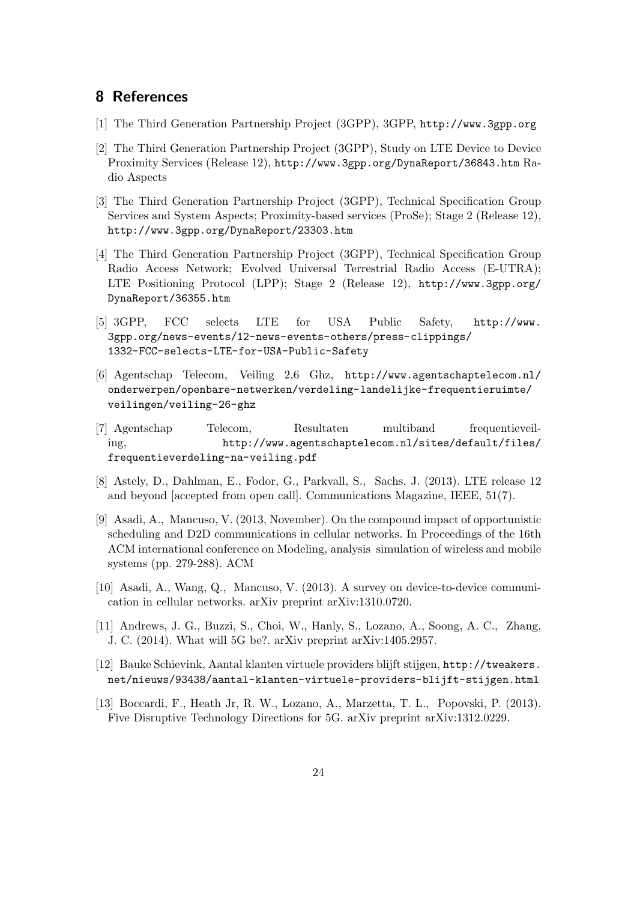## 8 References

- [1] The Third Generation Partnership Project (3GPP), 3GPP, http://www.3gpp.org
- [2] The Third Generation Partnership Project (3GPP), Study on LTE Device to Device Proximity Services (Release 12), http://www.3gpp.org/DynaReport/36843.htm Radio Aspects
- [3] The Third Generation Partnership Project (3GPP), Technical Specification Group Services and System Aspects; Proximity-based services (ProSe); Stage 2 (Release 12), http://www.3gpp.org/DynaReport/23303.htm
- [4] The Third Generation Partnership Project (3GPP), Technical Specification Group Radio Access Network; Evolved Universal Terrestrial Radio Access (E-UTRA); LTE Positioning Protocol (LPP); Stage 2 (Release 12), http://www.3gpp.org/ DynaReport/36355.htm
- [5] 3GPP, FCC selects LTE for USA Public Safety, http://www. 3gpp.org/news-events/12-news-events-others/press-clippings/ 1332-FCC-selects-LTE-for-USA-Public-Safety
- [6] Agentschap Telecom, Veiling 2,6 Ghz, http://www.agentschaptelecom.nl/ onderwerpen/openbare-netwerken/verdeling-landelijke-frequentieruimte/ veilingen/veiling-26-ghz
- [7] Agentschap Telecom, Resultaten multiband frequentieveiling, http://www.agentschaptelecom.nl/sites/default/files/ frequentieverdeling-na-veiling.pdf
- [8] Astely, D., Dahlman, E., Fodor, G., Parkvall, S., Sachs, J. (2013). LTE release 12 and beyond [accepted from open call]. Communications Magazine, IEEE, 51(7).
- [9] Asadi, A., Mancuso, V. (2013, November). On the compound impact of opportunistic scheduling and D2D communications in cellular networks. In Proceedings of the 16th ACM international conference on Modeling, analysis simulation of wireless and mobile systems (pp. 279-288). ACM
- [10] Asadi, A., Wang, Q., Mancuso, V. (2013). A survey on device-to-device communication in cellular networks. arXiv preprint arXiv:1310.0720.
- [11] Andrews, J. G., Buzzi, S., Choi, W., Hanly, S., Lozano, A., Soong, A. C., Zhang, J. C. (2014). What will 5G be?. arXiv preprint arXiv:1405.2957.
- [12] Bauke Schievink, Aantal klanten virtuele providers blijft stijgen, http://tweakers. net/nieuws/93438/aantal-klanten-virtuele-providers-blijft-stijgen.html
- [13] Boccardi, F., Heath Jr, R. W., Lozano, A., Marzetta, T. L., Popovski, P. (2013). Five Disruptive Technology Directions for 5G. arXiv preprint arXiv:1312.0229.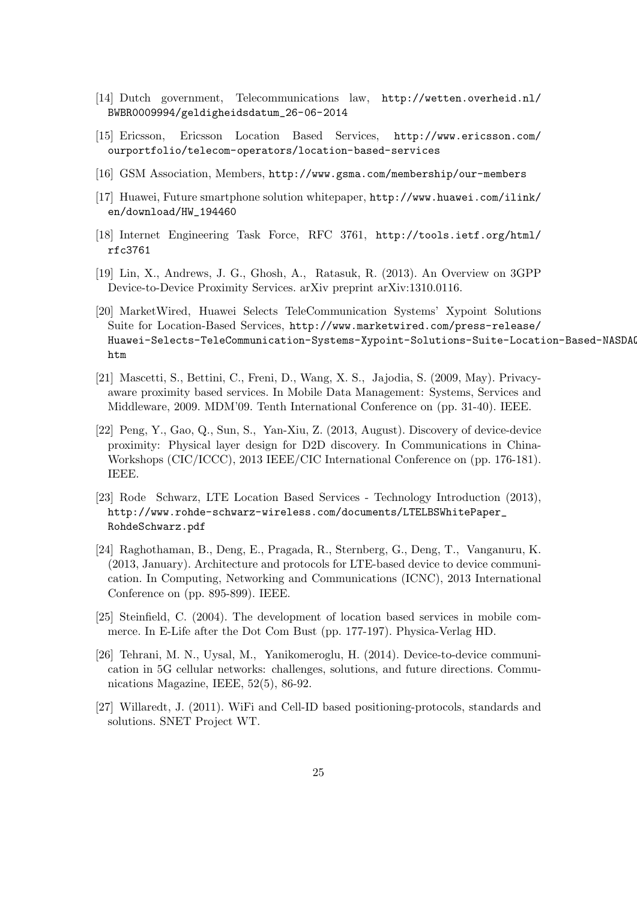- [14] Dutch government, Telecommunications law, http://wetten.overheid.nl/ BWBR0009994/geldigheidsdatum\_26-06-2014
- [15] Ericsson, Ericsson Location Based Services, http://www.ericsson.com/ ourportfolio/telecom-operators/location-based-services
- [16] GSM Association, Members, http://www.gsma.com/membership/our-members
- [17] Huawei, Future smartphone solution whitepaper, http://www.huawei.com/ilink/ en/download/HW\_194460
- [18] Internet Engineering Task Force, RFC 3761, http://tools.ietf.org/html/ rfc3761
- [19] Lin, X., Andrews, J. G., Ghosh, A., Ratasuk, R. (2013). An Overview on 3GPP Device-to-Device Proximity Services. arXiv preprint arXiv:1310.0116.
- [20] MarketWired, Huawei Selects TeleCommunication Systems' Xypoint Solutions Suite for Location-Based Services, http://www.marketwired.com/press-release/ Huawei-Selects-TeleCommunication-Systems-Xypoint-Solutions-Suite-Location-Based-NASDAO htm
- [21] Mascetti, S., Bettini, C., Freni, D., Wang, X. S., Jajodia, S. (2009, May). Privacyaware proximity based services. In Mobile Data Management: Systems, Services and Middleware, 2009. MDM'09. Tenth International Conference on (pp. 31-40). IEEE.
- [22] Peng, Y., Gao, Q., Sun, S., Yan-Xiu, Z. (2013, August). Discovery of device-device proximity: Physical layer design for D2D discovery. In Communications in China-Workshops (CIC/ICCC), 2013 IEEE/CIC International Conference on (pp. 176-181). IEEE.
- [23] Rode Schwarz, LTE Location Based Services Technology Introduction (2013), http://www.rohde-schwarz-wireless.com/documents/LTELBSWhitePaper\_ RohdeSchwarz.pdf
- [24] Raghothaman, B., Deng, E., Pragada, R., Sternberg, G., Deng, T., Vanganuru, K. (2013, January). Architecture and protocols for LTE-based device to device communication. In Computing, Networking and Communications (ICNC), 2013 International Conference on (pp. 895-899). IEEE.
- [25] Steinfield, C. (2004). The development of location based services in mobile commerce. In E-Life after the Dot Com Bust (pp. 177-197). Physica-Verlag HD.
- [26] Tehrani, M. N., Uysal, M., Yanikomeroglu, H. (2014). Device-to-device communication in 5G cellular networks: challenges, solutions, and future directions. Communications Magazine, IEEE, 52(5), 86-92.
- [27] Willaredt, J. (2011). WiFi and Cell-ID based positioning-protocols, standards and solutions. SNET Project WT.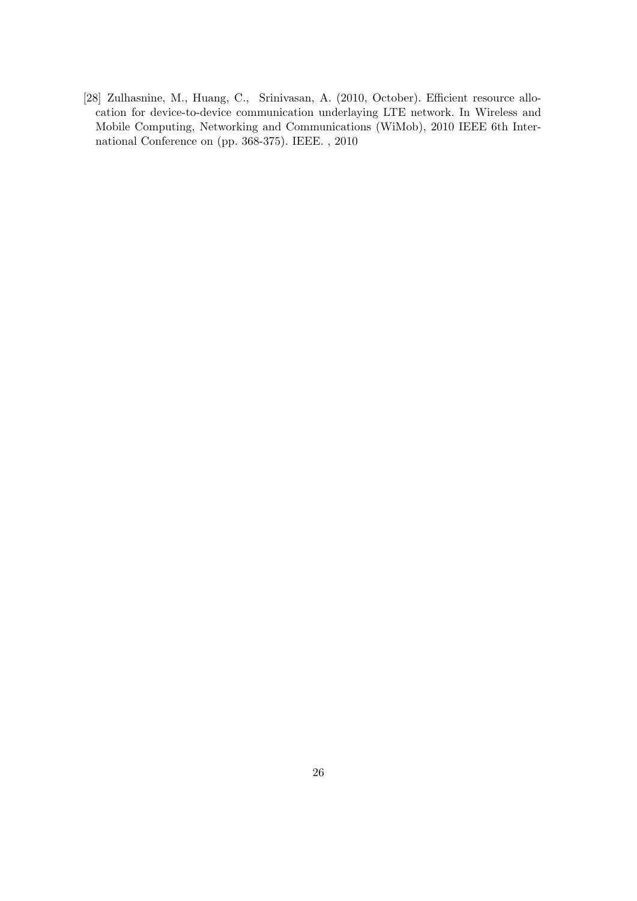[28] Zulhasnine, M., Huang, C., Srinivasan, A. (2010, October). Efficient resource allocation for device-to-device communication underlaying LTE network. In Wireless and Mobile Computing, Networking and Communications (WiMob), 2010 IEEE 6th International Conference on (pp. 368-375). IEEE. , 2010